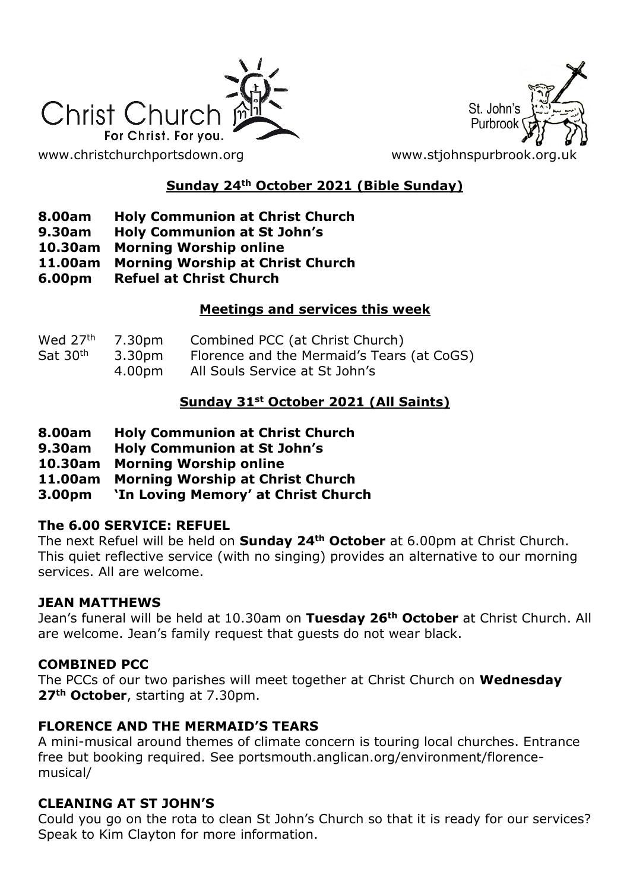



# **Sunday 24th October 2021 (Bible Sunday)**

- **8.00am Holy Communion at Christ Church**
- **9.30am Holy Communion at St John's**
- **10.30am Morning Worship online**
- **11.00am Morning Worship at Christ Church**
- **6.00pm Refuel at Christ Church**

## **Meetings and services this week**

| Wed $27th$ 7.30pm<br>Sat 30 <sup>th</sup> | 3.30pm | Combined PCC (at Christ Church)<br>Florence and the Mermaid's Tears (at CoGS) |
|-------------------------------------------|--------|-------------------------------------------------------------------------------|
|                                           | 4.00pm | All Souls Service at St John's                                                |

## **Sunday 31st October 2021 (All Saints)**

- **8.00am Holy Communion at Christ Church**
- **9.30am Holy Communion at St John's**
- **10.30am Morning Worship online**
- **11.00am Morning Worship at Christ Church**
- **3.00pm 'In Loving Memory' at Christ Church**

#### **The 6.00 SERVICE: REFUEL**

The next Refuel will be held on **Sunday 24th October** at 6.00pm at Christ Church. This quiet reflective service (with no singing) provides an alternative to our morning services. All are welcome.

#### **JEAN MATTHEWS**

Jean's funeral will be held at 10.30am on **Tuesday 26th October** at Christ Church. All are welcome. Jean's family request that guests do not wear black.

## **COMBINED PCC**

The PCCs of our two parishes will meet together at Christ Church on **Wednesday 27th October**, starting at 7.30pm.

## **FLORENCE AND THE MERMAID'S TEARS**

A mini-musical around themes of climate concern is touring local churches. Entrance free but booking required. See portsmouth.anglican.org/environment/florencemusical/

## **CLEANING AT ST JOHN'S**

Could you go on the rota to clean St John's Church so that it is ready for our services? Speak to Kim Clayton for more information.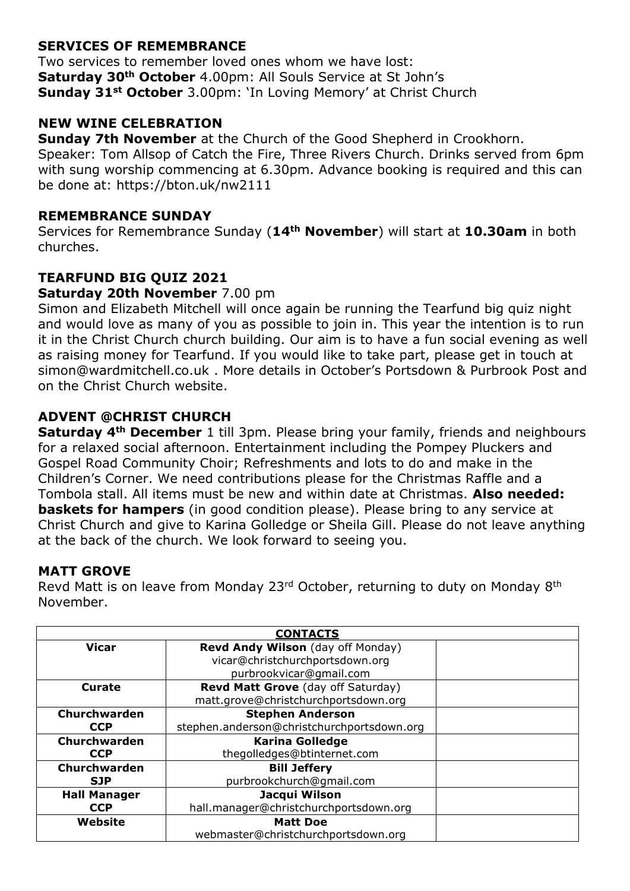## **SERVICES OF REMEMBRANCE**

Two services to remember loved ones whom we have lost: **Saturday 30th October** 4.00pm: All Souls Service at St John's **Sunday 31st October** 3.00pm: 'In Loving Memory' at Christ Church

### **NEW WINE CELEBRATION**

**Sunday 7th November** at the Church of the Good Shepherd in Crookhorn. Speaker: Tom Allsop of Catch the Fire, Three Rivers Church. Drinks served from 6pm with sung worship commencing at 6.30pm. Advance booking is required and this can be done at: https://bton.uk/nw2111

#### **REMEMBRANCE SUNDAY**

Services for Remembrance Sunday (**14th November**) will start at **10.30am** in both churches.

## **TEARFUND BIG QUIZ 2021**

#### **Saturday 20th November** 7.00 pm

Simon and Elizabeth Mitchell will once again be running the Tearfund big quiz night and would love as many of you as possible to join in. This year the intention is to run it in the Christ Church church building. Our aim is to have a fun social evening as well as raising money for Tearfund. If you would like to take part, please get in touch at simon@wardmitchell.co.uk . More details in October's Portsdown & Purbrook Post and on the Christ Church website.

#### **ADVENT @CHRIST CHURCH**

**Saturday 4th December** 1 till 3pm. Please bring your family, friends and neighbours for a relaxed social afternoon. Entertainment including the Pompey Pluckers and Gospel Road Community Choir; Refreshments and lots to do and make in the Children's Corner. We need contributions please for the Christmas Raffle and a Tombola stall. All items must be new and within date at Christmas. **Also needed: baskets for hampers** (in good condition please). Please bring to any service at Christ Church and give to Karina Golledge or Sheila Gill. Please do not leave anything at the back of the church. We look forward to seeing you.

#### **MATT GROVE**

Revd Matt is on leave from Monday 23rd October, returning to duty on Monday 8th November.

| <b>CONTACTS</b>     |                                            |  |  |
|---------------------|--------------------------------------------|--|--|
| Vicar               | Revd Andy Wilson (day off Monday)          |  |  |
|                     | vicar@christchurchportsdown.org            |  |  |
|                     | purbrookvicar@gmail.com                    |  |  |
| <b>Curate</b>       | <b>Revd Matt Grove</b> (day off Saturday)  |  |  |
|                     | matt.grove@christchurchportsdown.org       |  |  |
| Churchwarden        | <b>Stephen Anderson</b>                    |  |  |
| <b>CCP</b>          | stephen.anderson@christchurchportsdown.org |  |  |
| Churchwarden        | <b>Karina Golledge</b>                     |  |  |
| <b>CCP</b>          | thegolledges@btinternet.com                |  |  |
| Churchwarden        | <b>Bill Jeffery</b>                        |  |  |
| <b>SJP</b>          | purbrookchurch@gmail.com                   |  |  |
| <b>Hall Manager</b> | Jacqui Wilson                              |  |  |
| <b>CCP</b>          | hall.manager@christchurchportsdown.org     |  |  |
| Website             | <b>Matt Doe</b>                            |  |  |
|                     | webmaster@christchurchportsdown.org        |  |  |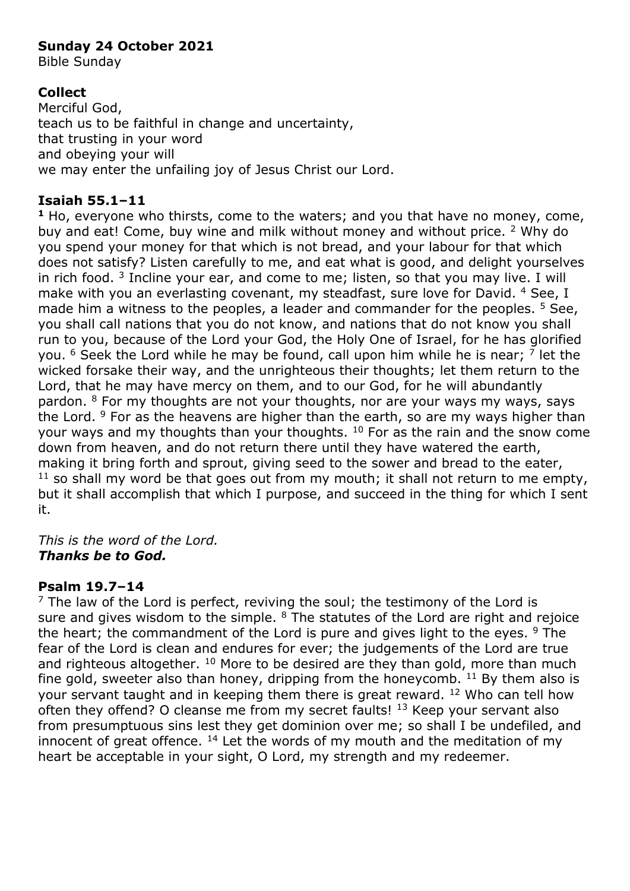### **Sunday 24 October 2021**

Bible Sunday

## **Collect**

Merciful God, teach us to be faithful in change and uncertainty, that trusting in your word and obeying your will we may enter the unfailing joy of Jesus Christ our Lord.

## **Isaiah 55.1–11**

**<sup>1</sup>** Ho, everyone who thirsts, come to the waters; and you that have no money, come, buy and eat! Come, buy wine and milk without money and without price. <sup>2</sup> Why do you spend your money for that which is not bread, and your labour for that which does not satisfy? Listen carefully to me, and eat what is good, and delight yourselves in rich food.  $3$  Incline your ear, and come to me; listen, so that you may live. I will make with you an everlasting covenant, my steadfast, sure love for David. 4 See, I made him a witness to the peoples, a leader and commander for the peoples.  $5$  See, you shall call nations that you do not know, and nations that do not know you shall run to you, because of the Lord your God, the Holy One of Israel, for he has glorified you. <sup>6</sup> Seek the Lord while he may be found, call upon him while he is near; <sup>7</sup> let the wicked forsake their way, and the unrighteous their thoughts; let them return to the Lord, that he may have mercy on them, and to our God, for he will abundantly pardon.  $8$  For my thoughts are not your thoughts, nor are your ways my ways, says the Lord. <sup>9</sup> For as the heavens are higher than the earth, so are my ways higher than your ways and my thoughts than your thoughts.  $10$  For as the rain and the snow come down from heaven, and do not return there until they have watered the earth, making it bring forth and sprout, giving seed to the sower and bread to the eater,  $11$  so shall my word be that goes out from my mouth; it shall not return to me empty, but it shall accomplish that which I purpose, and succeed in the thing for which I sent it.

*This is the word of the Lord. Thanks be to God.*

## **Psalm 19.7–14**

 $<sup>7</sup>$  The law of the Lord is perfect, reviving the soul; the testimony of the Lord is</sup> sure and gives wisdom to the simple.  $8$  The statutes of the Lord are right and rejoice the heart; the commandment of the Lord is pure and gives light to the eyes.  $9$  The fear of the Lord is clean and endures for ever; the judgements of the Lord are true and righteous altogether.  $10$  More to be desired are they than gold, more than much fine gold, sweeter also than honey, dripping from the honeycomb.  $11$  By them also is your servant taught and in keeping them there is great reward. <sup>12</sup> Who can tell how often they offend? O cleanse me from my secret faults! <sup>13</sup> Keep your servant also from presumptuous sins lest they get dominion over me; so shall I be undefiled, and innocent of great offence.  $14$  Let the words of my mouth and the meditation of my heart be acceptable in your sight, O Lord, my strength and my redeemer.